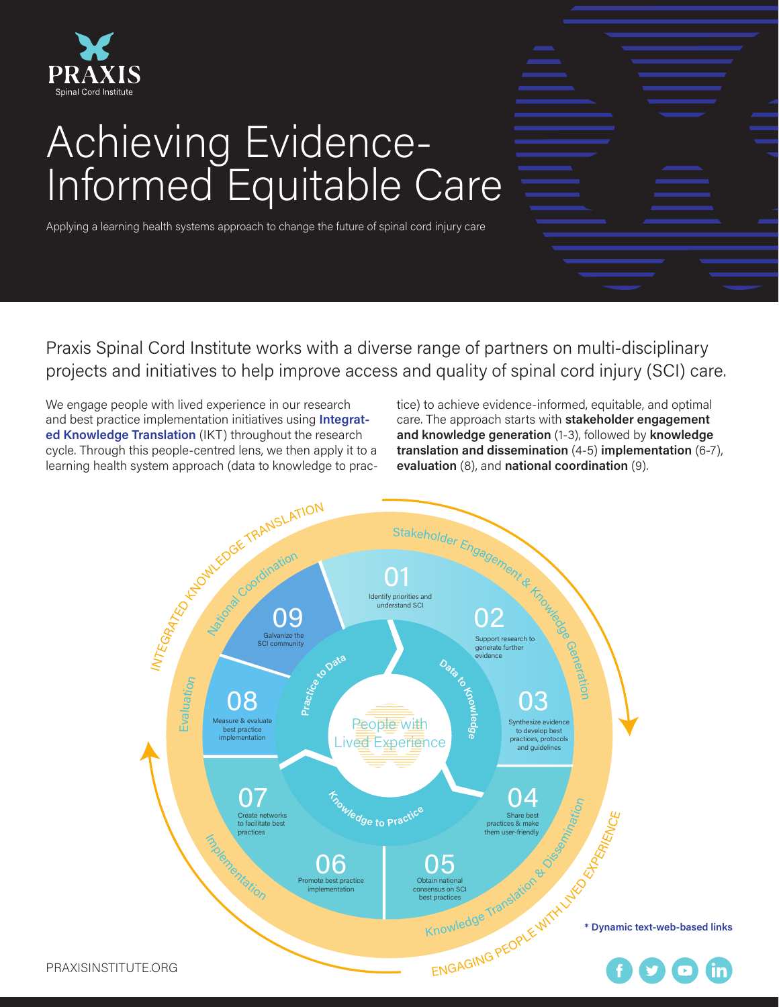

# Achieving Evidence-Informed Equitable Care

Applying a learning health systems approach to change the future of spinal cord injury care

Praxis Spinal Cord Institute works with a diverse range of partners on multi-disciplinary projects and initiatives to help improve access and quality of spinal cord injury (SCI) care.

We engage people with lived experience in our research and best practice implementation initiatives using **[Integrat](https://ok-ikt-2019.sites.olt.ubc.ca/files/2021/02/IKT_Guiding_Principles_Feb_2021_1.pdf)[ed Knowledge Translation](https://ok-ikt-2019.sites.olt.ubc.ca/files/2021/02/IKT_Guiding_Principles_Feb_2021_1.pdf)** (IKT) throughout the research cycle. Through this people-centred lens, we then apply it to a learning health system approach (data to knowledge to practice) to achieve evidence-informed, equitable, and optimal care. The approach starts with **stakeholder engagement and knowledge generation** (1-3), followed by **knowledge translation and dissemination** (4-5) **implementation** (6-7), **evaluation** (8), and **national coordination** (9).

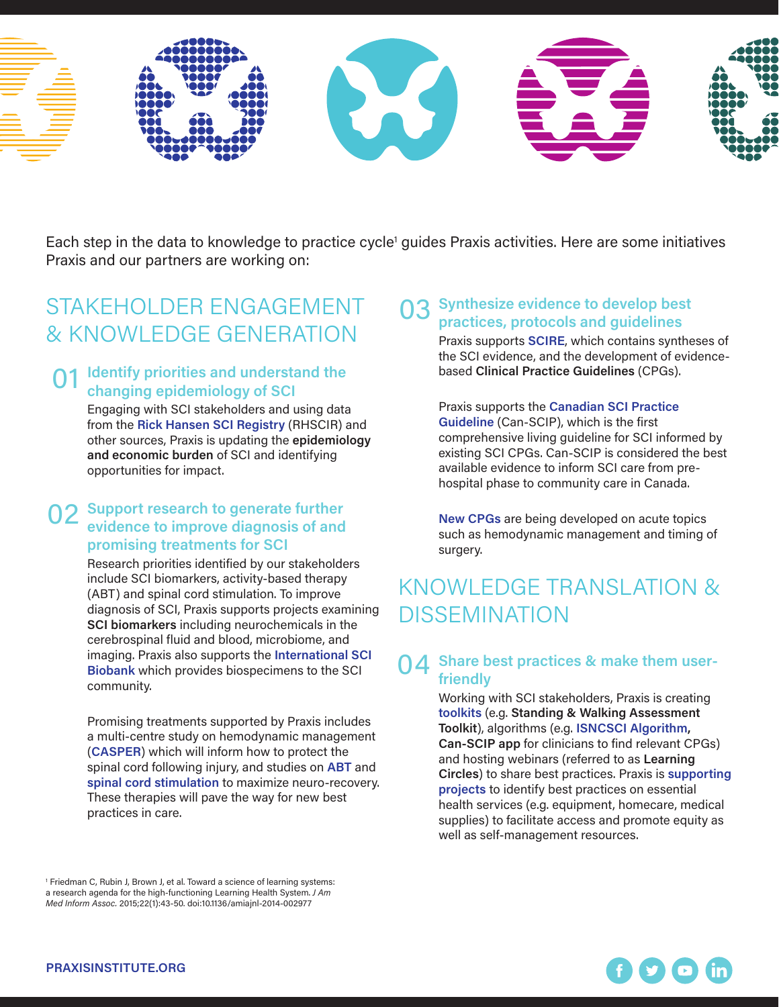

Each step in the data to knowledge to practice cycle<sup>1</sup> guides Praxis activities. Here are some initiatives Praxis and our partners are working on:

### STAKEHOLDER ENGAGEMENT & KNOWLEDGE GENERATION

#### **O1** Identify priorities and understand the<br>
changing epidemiology of SCI **changing epidemiology of SCI**

Engaging with SCI stakeholders and using data from the **[Rick Hansen SCI Registry](https://praxisinstitute.org/research-care/key-initiatives/national-sci-registry/)** (RHSCIR) and other sources, Praxis is updating the **epidemiology and economic burden** of SCI and identifying opportunities for impact.

#### **O2** Support research to generate further<br>
puidence to improve diagnosis of and **evidence to improve diagnosis of and promising treatments for SCI**

Research priorities identified by our stakeholders include SCI biomarkers, activity-based therapy (ABT) and spinal cord stimulation. To improve diagnosis of SCI, Praxis supports projects examining **SCI biomarkers** including neurochemicals in the cerebrospinal fluid and blood, microbiome, and imaging. Praxis also supports the **[International SCI](http://www.sci-biobank.org)  [Biobank](http://www.sci-biobank.org)** which provides biospecimens to the SCI community.

Promising treatments supported by Praxis includes a multi-centre study on hemodynamic management (**[CASPER](https://clinicaltrials.gov/ct2/show/NCT03911492)**) which will inform how to protect the spinal cord following injury, and studies on **[ABT](https://praxisinstitute.org/praxis-announces-list-of-award-recipients-for-cure-and-care-program-open-calls/)** and **[spinal cord stimulation](https://praxisinstitute.org/praxis-announces-its-latest-grant-recipients/)** to maximize neuro-recovery. These therapies will pave the way for new best practices in care.

<sup>1</sup> Friedman C, Rubin J, Brown J, et al. Toward a science of learning systems: a research agenda for the high-functioning Learning Health System. *J Am Med Inform Assoc.* 2015;22(1):43-50. doi:10.1136/amiajnl-2014-002977

#### 03 **Synthesize evidence to develop best practices, protocols and guidelines**

Praxis supports **[SCIRE](http://www.scireproject.com)**, which contains syntheses of the SCI evidence, and the development of evidencebased **Clinical Practice Guidelines** (CPGs).

Praxis supports the **[Canadian SCI Practice](https://kite-uhn.com/can-scip)  [Guideline](https://kite-uhn.com/can-scip)** (Can-SCIP), which is the first comprehensive living guideline for SCI informed by existing SCI CPGs. Can-SCIP is considered the best available evidence to inform SCI care from prehospital phase to community care in Canada.

**[New CPGs](https://praxisinstitute.org/praxis-announces-its-latest-grant-recipients/#bk)** are being developed on acute topics such as hemodynamic management and timing of surgery.

### KNOWLEDGE TRANSLATION & DISSEMINATION

### 04 **Share best practices & make them userfriendly**

Working with SCI stakeholders, Praxis is creating **[toolkits](https://praxisinstitute.org/research-care/professional-resources/clinician-education/)** (e.g. **Standing & Walking Assessment Toolkit**), algorithms (e.g. **[ISNCSCI Algorithm,](https://www.isncscialgorithm.com/) Can-SCIP app** for clinicians to find relevant CPGs) and hosting webinars (referred to as **Learning Circles**) to share best practices. Praxis is **[supporting](https://praxisinstitute.org/praxis-announces-its-latest-grant-recipients/#kc)  [projects](https://praxisinstitute.org/praxis-announces-its-latest-grant-recipients/#kc)** to identify best practices on essential health services (e.g. equipment, homecare, medical supplies) to facilitate access and promote equity as well as self-management resources.